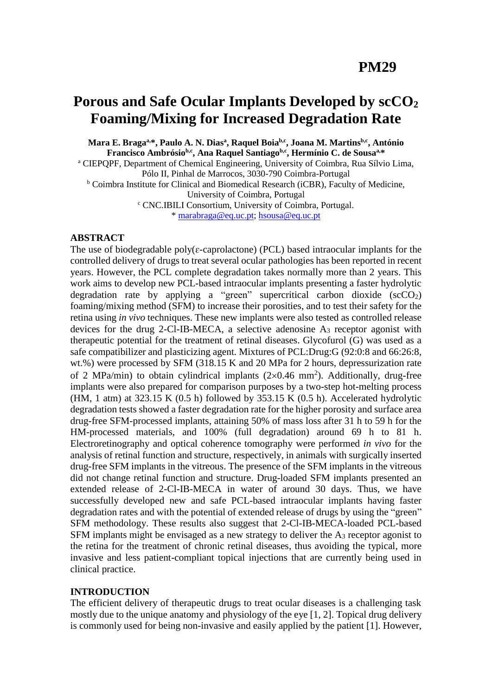# **Porous and Safe Ocular Implants Developed by scCO<sup>2</sup> Foaming/Mixing for Increased Degradation Rate**

**Mara E. Bragaa,\*, Paulo A. N. Dias<sup>a</sup> , Raquel Boiab,c, Joana M. Martinsb,c, António Francisco Ambrósiob,c, Ana Raquel Santiagob,c, Hermínio C. de Sousaa,\*** <sup>a</sup> CIEPQPF, Department of Chemical Engineering, University of Coimbra, Rua Sílvio Lima, Pólo II, Pinhal de Marrocos, 3030-790 Coimbra-Portugal <sup>b</sup> Coimbra Institute for Clinical and Biomedical Research (iCBR), Faculty of Medicine, University of Coimbra, Portugal <sup>c</sup> CNC.IBILI Consortium, University of Coimbra, Portugal. \* [marabraga@eq.uc.pt;](mailto:marabraga@eq.uc.pt) [hsousa@eq.uc.pt](mailto:hsousa@eq.uc.pt)

## **ABSTRACT**

The use of biodegradable poly( $\varepsilon$ -caprolactone) (PCL) based intraocular implants for the controlled delivery of drugs to treat several ocular pathologies has been reported in recent years. However, the PCL complete degradation takes normally more than 2 years. This work aims to develop new PCL-based intraocular implants presenting a faster hydrolytic degradation rate by applying a "green" supercritical carbon dioxide  $(scCO<sub>2</sub>)$ foaming/mixing method (SFM) to increase their porosities, and to test their safety for the retina using *in vivo* techniques. These new implants were also tested as controlled release devices for the drug 2-Cl-IB-MECA, a selective adenosine A<sup>3</sup> receptor agonist with therapeutic potential for the treatment of retinal diseases. Glycofurol (G) was used as a safe compatibilizer and plasticizing agent. Mixtures of PCL:Drug:G (92:0:8 and 66:26:8, wt.%) were processed by SFM (318.15 K and 20 MPa for 2 hours, depressurization rate of 2 MPa/min) to obtain cylindrical implants  $(2\times0.46$  mm<sup>2</sup>). Additionally, drug-free implants were also prepared for comparison purposes by a two-step hot-melting process (HM, 1 atm) at  $323.15$  K (0.5 h) followed by  $353.15$  K (0.5 h). Accelerated hydrolytic degradation tests showed a faster degradation rate for the higher porosity and surface area drug-free SFM-processed implants, attaining 50% of mass loss after 31 h to 59 h for the HM-processed materials, and 100% (full degradation) around 69 h to 81 h. Electroretinography and optical coherence tomography were performed *in vivo* for the analysis of retinal function and structure, respectively, in animals with surgically inserted drug-free SFM implants in the vitreous. The presence of the SFM implants in the vitreous did not change retinal function and structure. Drug-loaded SFM implants presented an extended release of 2-Cl-IB-MECA in water of around 30 days. Thus, we have successfully developed new and safe PCL-based intraocular implants having faster degradation rates and with the potential of extended release of drugs by using the "green" SFM methodology. These results also suggest that 2-Cl-IB-MECA-loaded PCL-based SFM implants might be envisaged as a new strategy to deliver the  $A_3$  receptor agonist to the retina for the treatment of chronic retinal diseases, thus avoiding the typical, more invasive and less patient-compliant topical injections that are currently being used in clinical practice.

## **INTRODUCTION**

The efficient delivery of therapeutic drugs to treat ocular diseases is a challenging task mostly due to the unique anatomy and physiology of the eye [1, 2]. Topical drug delivery is commonly used for being non-invasive and easily applied by the patient [1]. However,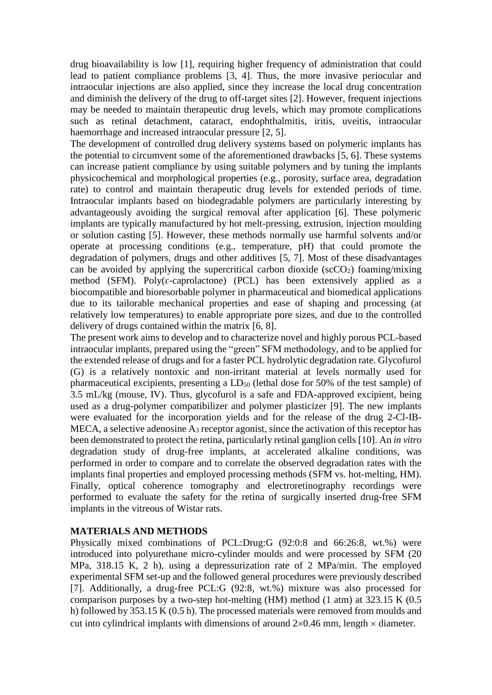drug bioavailability is low [1], requiring higher frequency of administration that could lead to patient compliance problems [3, 4]. Thus, the more invasive periocular and intraocular injections are also applied, since they increase the local drug concentration and diminish the delivery of the drug to off-target sites [2]. However, frequent injections may be needed to maintain therapeutic drug levels, which may promote complications such as retinal detachment, cataract, endophthalmitis, iritis, uveitis, intraocular haemorrhage and increased intraocular pressure [2, 5].

The development of controlled drug delivery systems based on polymeric implants has the potential to circumvent some of the aforementioned drawbacks [5, 6]. These systems can increase patient compliance by using suitable polymers and by tuning the implants physicochemical and morphological properties (e.g., porosity, surface area, degradation rate) to control and maintain therapeutic drug levels for extended periods of time. Intraocular implants based on biodegradable polymers are particularly interesting by advantageously avoiding the surgical removal after application [6]. These polymeric implants are typically manufactured by hot melt-pressing, extrusion, injection moulding or solution casting [5]. However, these methods normally use harmful solvents and/or operate at processing conditions (e.g., temperature, pH) that could promote the degradation of polymers, drugs and other additives [5, 7]. Most of these disadvantages can be avoided by applying the supercritical carbon dioxide ( $\sec O_2$ ) foaming/mixing method (SFM). Poly( $\varepsilon$ -caprolactone) (PCL) has been extensively applied as a biocompatible and bioresorbable polymer in pharmaceutical and biomedical applications due to its tailorable mechanical properties and ease of shaping and processing (at relatively low temperatures) to enable appropriate pore sizes, and due to the controlled delivery of drugs contained within the matrix [6, 8].

The present work aims to develop and to characterize novel and highly porous PCL-based intraocular implants, prepared using the "green" SFM methodology, and to be applied for the extended release of drugs and for a faster PCL hydrolytic degradation rate. Glycofurol (G) is a relatively nontoxic and non-irritant material at levels normally used for pharmaceutical excipients, presenting a  $LD_{50}$  (lethal dose for 50% of the test sample) of 3.5 mL/kg (mouse, IV). Thus, glycofurol is a safe and FDA-approved excipient, being used as a drug-polymer compatibilizer and polymer plasticizer [9]. The new implants were evaluated for the incorporation yields and for the release of the drug 2-Cl-IB-MECA, a selective adenosine A<sup>3</sup> receptor agonist, since the activation of this receptor has been demonstrated to protect the retina, particularly retinal ganglion cells [10]. An *in vitro* degradation study of drug-free implants, at accelerated alkaline conditions, was performed in order to compare and to correlate the observed degradation rates with the implants final properties and employed processing methods (SFM vs. hot-melting, HM). Finally, optical coherence tomography and electroretinography recordings were performed to evaluate the safety for the retina of surgically inserted drug-free SFM implants in the vitreous of Wistar rats.

# **MATERIALS AND METHODS**

Physically mixed combinations of PCL:Drug:G (92:0:8 and 66:26:8, wt.%) were introduced into polyurethane micro-cylinder moulds and were processed by SFM (20 MPa, 318.15 K, 2 h), using a depressurization rate of 2 MPa/min. The employed experimental SFM set-up and the followed general procedures were previously described [7]. Additionally, a drug-free PCL:G (92:8, wt.%) mixture was also processed for comparison purposes by a two-step hot-melting (HM) method (1 atm) at 323.15 K (0.5 h) followed by 353.15 K (0.5 h). The processed materials were removed from moulds and cut into cylindrical implants with dimensions of around  $2\times 0.46$  mm, length  $\times$  diameter.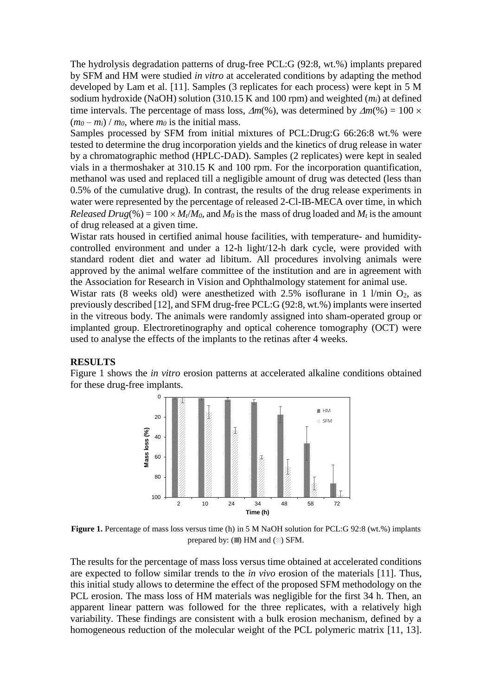The hydrolysis degradation patterns of drug-free PCL:G (92:8, wt.%) implants prepared by SFM and HM were studied *in vitro* at accelerated conditions by adapting the method developed by Lam et al. [11]. Samples (3 replicates for each process) were kept in 5 M sodium hydroxide (NaOH) solution (310.15 K and 100 rpm) and weighted (*mi*) at defined time intervals. The percentage of mass loss,  $\Delta m(\%)$ , was determined by  $\Delta m(\%) = 100 \times$  $(m_0 - m_i) / m_0$ , where  $m_0$  is the initial mass.

Samples processed by SFM from initial mixtures of PCL:Drug:G 66:26:8 wt.% were tested to determine the drug incorporation yields and the kinetics of drug release in water by a chromatographic method (HPLC-DAD). Samples (2 replicates) were kept in sealed vials in a thermoshaker at 310.15 K and 100 rpm. For the incorporation quantification, methanol was used and replaced till a negligible amount of drug was detected (less than 0.5% of the cumulative drug). In contrast, the results of the drug release experiments in water were represented by the percentage of released 2-Cl-IB-MECA over time, in which *Released Drug*(%) = 100  $\times$  *M*<sub>t</sub>/*M*<sub>0</sub>, and *M*<sub>0</sub> is the mass of drug loaded and *M*<sub>t</sub> is the amount of drug released at a given time.

Wistar rats housed in certified animal house facilities, with temperature- and humiditycontrolled environment and under a 12-h light/12-h dark cycle, were provided with standard rodent diet and water ad libitum. All procedures involving animals were approved by the animal welfare committee of the institution and are in agreement with the Association for Research in Vision and Ophthalmology statement for animal use.

Wistar rats (8 weeks old) were anesthetized with  $2.5\%$  isoflurane in 1 l/min  $O_2$ , as previously described [12], and SFM drug-free PCL:G (92:8, wt.%) implants were inserted in the vitreous body. The animals were randomly assigned into sham-operated group or implanted group. Electroretinography and optical coherence tomography (OCT) were used to analyse the effects of the implants to the retinas after 4 weeks.

## **RESULTS**

Figure 1 shows the *in vitro* erosion patterns at accelerated alkaline conditions obtained for these drug-free implants.



**Figure 1.** Percentage of mass loss versus time (h) in 5 M NaOH solution for PCL:G 92:8 (wt.%) implants prepared by:  $(\mathbb{I})$  HM and  $(\mathbb{Z})$  SFM.

The results for the percentage of mass loss versus time obtained at accelerated conditions are expected to follow similar trends to the *in vivo* erosion of the materials [11]. Thus, this initial study allows to determine the effect of the proposed SFM methodology on the PCL erosion. The mass loss of HM materials was negligible for the first 34 h. Then, an apparent linear pattern was followed for the three replicates, with a relatively high variability. These findings are consistent with a bulk erosion mechanism, defined by a homogeneous reduction of the molecular weight of the PCL polymeric matrix [11, 13].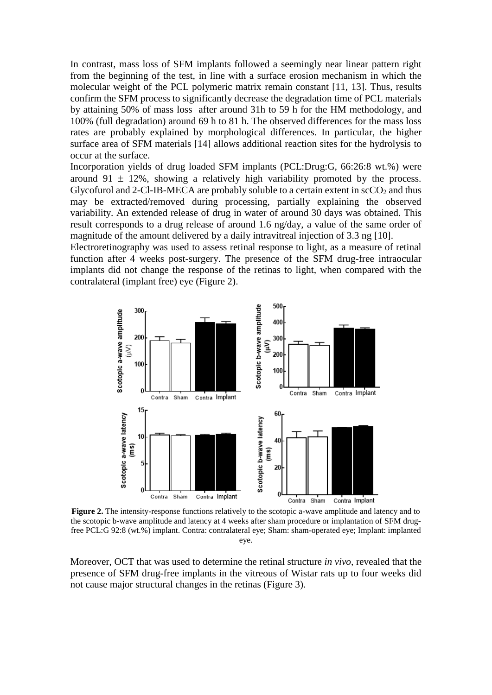In contrast, mass loss of SFM implants followed a seemingly near linear pattern right from the beginning of the test, in line with a surface erosion mechanism in which the molecular weight of the PCL polymeric matrix remain constant [11, 13]. Thus, results confirm the SFM process to significantly decrease the degradation time of PCL materials by attaining 50% of mass loss after around 31h to 59 h for the HM methodology, and 100% (full degradation) around 69 h to 81 h. The observed differences for the mass loss rates are probably explained by morphological differences. In particular, the higher surface area of SFM materials [14] allows additional reaction sites for the hydrolysis to occur at the surface.

Incorporation yields of drug loaded SFM implants (PCL:Drug:G, 66:26:8 wt.%) were around 91  $\pm$  12%, showing a relatively high variability promoted by the process. Glycofurol and 2-Cl-IB-MECA are probably soluble to a certain extent in  $\sec O_2$  and thus may be extracted/removed during processing, partially explaining the observed variability. An extended release of drug in water of around 30 days was obtained. This result corresponds to a drug release of around 1.6 ng/day, a value of the same order of magnitude of the amount delivered by a daily intravitreal injection of 3.3 ng [10].

Electroretinography was used to assess retinal response to light, as a measure of retinal function after 4 weeks post-surgery. The presence of the SFM drug-free intraocular implants did not change the response of the retinas to light, when compared with the contralateral (implant free) eye (Figure 2).



**Figure 2.** The intensity-response functions relatively to the scotopic a-wave amplitude and latency and to the scotopic b-wave amplitude and latency at 4 weeks after sham procedure or implantation of SFM drugfree PCL:G 92:8 (wt.%) implant. Contra: contralateral eye; Sham: sham-operated eye; Implant: implanted eye.

Moreover, OCT that was used to determine the retinal structure *in vivo,* revealed that the presence of SFM drug-free implants in the vitreous of Wistar rats up to four weeks did not cause major structural changes in the retinas (Figure 3).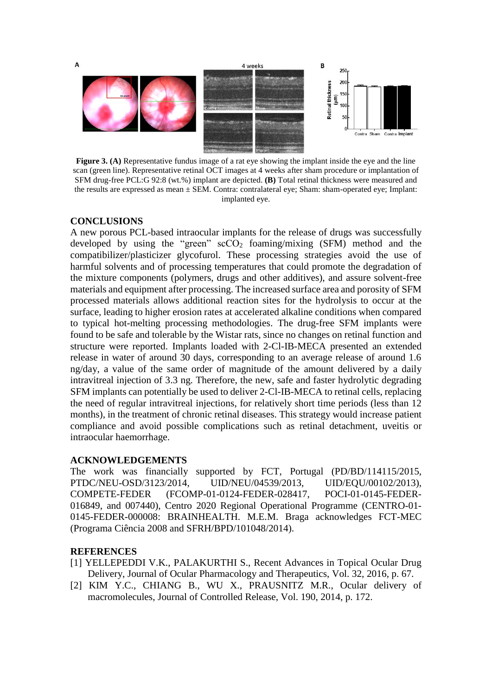

**Figure 3. (A)** Representative fundus image of a rat eye showing the implant inside the eye and the line scan (green line). Representative retinal OCT images at 4 weeks after sham procedure or implantation of SFM drug-free PCL:G 92:8 (wt.%) implant are depicted. **(B)** Total retinal thickness were measured and the results are expressed as mean  $\pm$  SEM. Contra: contralateral eye; Sham: sham-operated eye; Implant: implanted eye.

#### **CONCLUSIONS**

A new porous PCL-based intraocular implants for the release of drugs was successfully developed by using the "green"  $\sec O_2$  foaming/mixing (SFM) method and the compatibilizer/plasticizer glycofurol. These processing strategies avoid the use of harmful solvents and of processing temperatures that could promote the degradation of the mixture components (polymers, drugs and other additives), and assure solvent-free materials and equipment after processing. The increased surface area and porosity of SFM processed materials allows additional reaction sites for the hydrolysis to occur at the surface, leading to higher erosion rates at accelerated alkaline conditions when compared to typical hot-melting processing methodologies. The drug-free SFM implants were found to be safe and tolerable by the Wistar rats, since no changes on retinal function and structure were reported. Implants loaded with 2-Cl-IB-MECA presented an extended release in water of around 30 days, corresponding to an average release of around 1.6 ng/day, a value of the same order of magnitude of the amount delivered by a daily intravitreal injection of 3.3 ng. Therefore, the new, safe and faster hydrolytic degrading SFM implants can potentially be used to deliver 2-Cl-IB-MECA to retinal cells, replacing the need of regular intravitreal injections, for relatively short time periods (less than 12 months), in the treatment of chronic retinal diseases. This strategy would increase patient compliance and avoid possible complications such as retinal detachment, uveitis or intraocular haemorrhage.

## **ACKNOWLEDGEMENTS**

The work was financially supported by FCT, Portugal (PD/BD/114115/2015, PTDC/NEU-OSD/3123/2014, UID/NEU/04539/2013, UID/EQU/00102/2013), COMPETE-FEDER (FCOMP-01-0124-FEDER-028417, POCI-01-0145-FEDER-016849, and 007440), Centro 2020 Regional Operational Programme (CENTRO-01- 0145-FEDER-000008: BRAINHEALTH. M.E.M. Braga acknowledges FCT-MEC (Programa Ciência 2008 and SFRH/BPD/101048/2014).

#### **REFERENCES**

- [1] YELLEPEDDI V.K., PALAKURTHI S., Recent Advances in Topical Ocular Drug Delivery, Journal of Ocular Pharmacology and Therapeutics, Vol. 32, 2016, p. 67.
- [2] KIM Y.C., CHIANG B., WU X., PRAUSNITZ M.R., Ocular delivery of macromolecules, Journal of Controlled Release, Vol. 190, 2014, p. 172.